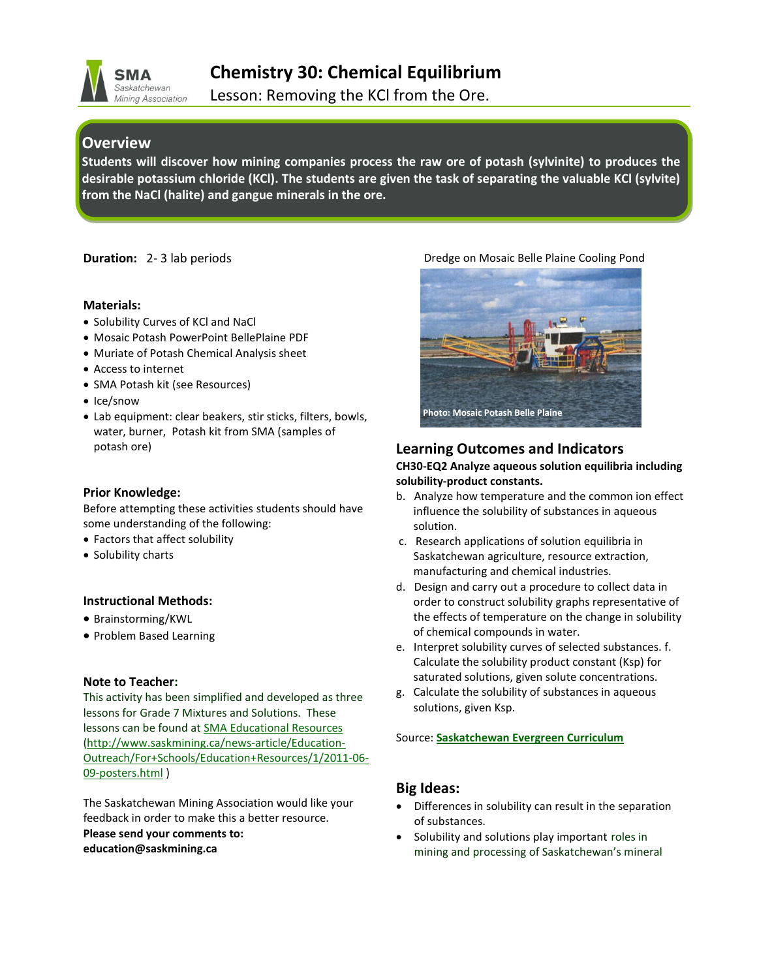

**Chemistry 30: Chemical Equilibrium**

Lesson: Removing the KCl from the Ore.

# **Overview**

**Students will discover how mining companies process the raw ore of potash (sylvinite) to produces the desirable potassium chloride (KCl). The students are given the task of separating the valuable KCl (sylvite) from the NaCl (halite) and gangue minerals in the ore.** 

**Duration:** 2- 3 lab periods

#### **Materials:**

- Solubility Curves of KCl and NaCl
- Mosaic Potash PowerPoint BellePlaine PDF
- Muriate of Potash Chemical Analysis sheet
- Access to internet
- SMA Potash kit (see Resources)
- Ice/snow
- Lab equipment: clear beakers, stir sticks, filters, bowls, water, burner, Potash kit from SMA (samples of potash ore)

#### **Prior Knowledge:**

Before attempting these activities students should have some understanding of the following:

- Factors that affect solubility
- Solubility charts

# **Instructional Methods:**

- Brainstorming/KWL
- Problem Based Learning

#### **Note to Teacher:**

This activity has been simplified and developed as three lessons for Grade 7 Mixtures and Solutions. These lessons can be found at **[SMA Educational Resources](http://www.saskmining.ca/news-article/Education-Outreach/For+Schools/Education+Resources/1/2011-06-09-posters.html)** [\(http://www.saskmining.ca/news-article/Education-](http://www.saskmining.ca/news-article/Education-Outreach/For+Schools/Education+Resources/1/2011-06-09-posters.html)[Outreach/For+Schools/Education+Resources/1/2011-06-](http://www.saskmining.ca/news-article/Education-Outreach/For+Schools/Education+Resources/1/2011-06-09-posters.html) [09-posters.html](http://www.saskmining.ca/news-article/Education-Outreach/For+Schools/Education+Resources/1/2011-06-09-posters.html) )

The Saskatchewan Mining Association would like your feedback in order to make this a better resource. **Please send your comments to: education@saskmining.ca**

#### Dredge on Mosaic Belle Plaine Cooling Pond



# **Learning Outcomes and Indicators**

#### **CH30-EQ2 Analyze aqueous solution equilibria including solubility-product constants.**

- b. Analyze how temperature and the common ion effect influence the solubility of substances in aqueous solution.
- c. Research applications of solution equilibria in Saskatchewan agriculture, resource extraction, manufacturing and chemical industries.
- d. Design and carry out a procedure to collect data in order to construct solubility graphs representative of the effects of temperature on the change in solubility of chemical compounds in water.
- e. Interpret solubility curves of selected substances. f. Calculate the solubility product constant (Ksp) for saturated solutions, given solute concentrations.
- g. Calculate the solubility of substances in aqueous solutions, given Ksp.

#### Source: **[Saskatchewan Evergreen Curriculum](https://www.edonline.sk.ca/webapps/moe-curriculum-BBLEARN/index.jsp?lang=en&XML=science_7.xml)**

# **Big Ideas:**

- Differences in solubility can result in the separation of substances.
- Solubility and solutions play important roles in mining and processing of Saskatchewan's mineral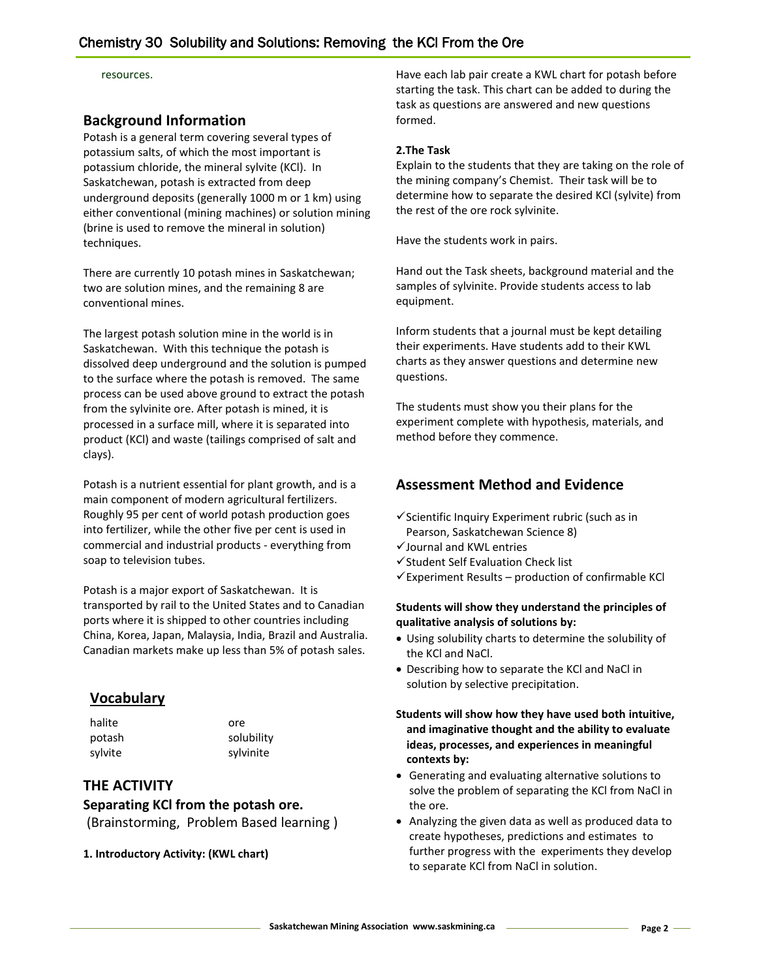resources.

# **Background Information**

Potash is a general term covering several types of potassium salts, of which the most important is potassium chloride, the mineral sylvite (KCl). In Saskatchewan, potash is extracted from deep underground deposits (generally 1000 m or 1 km) using either conventional (mining machines) or solution mining (brine is used to remove the mineral in solution) techniques.

There are currently 10 potash mines in Saskatchewan; two are solution mines, and the remaining 8 are conventional mines.

The largest potash solution mine in the world is in Saskatchewan. With this technique the potash is dissolved deep underground and the solution is pumped to the surface where the potash is removed. The same process can be used above ground to extract the potash from the sylvinite ore. After potash is mined, it is processed in a surface mill, where it is separated into product (KCl) and waste (tailings comprised of salt and clays).

Potash is a nutrient essential for plant growth, and is a main component of modern agricultural fertilizers. Roughly 95 per cent of world potash production goes into fertilizer, while the other five per cent is used in commercial and industrial products - everything from soap to television tubes.

Potash is a major export of Saskatchewan. It is transported by rail to the United States and to Canadian ports where it is shipped to other countries including China, Korea, Japan, Malaysia, India, Brazil and Australia. Canadian markets make up less than 5% of potash sales.

# **Vocabulary**

halite ore

potash solubility sylvite sylvinite

# **THE ACTIVITY**

**Separating KCl from the potash ore.**  (Brainstorming, Problem Based learning )

#### **1. Introductory Activity: (KWL chart)**

Have each lab pair create a KWL chart for potash before starting the task. This chart can be added to during the task as questions are answered and new questions formed.

#### **2.The Task**

Explain to the students that they are taking on the role of the mining company's Chemist. Their task will be to determine how to separate the desired KCl (sylvite) from the rest of the ore rock sylvinite.

Have the students work in pairs.

Hand out the Task sheets, background material and the samples of sylvinite. Provide students access to lab equipment.

Inform students that a journal must be kept detailing their experiments. Have students add to their KWL charts as they answer questions and determine new questions.

The students must show you their plans for the experiment complete with hypothesis, materials, and method before they commence.

# **Assessment Method and Evidence**

- $\checkmark$  Scientific Inquiry Experiment rubric (such as in Pearson, Saskatchewan Science 8)
- Journal and KWL entries
- $\checkmark$  Student Self Evaluation Check list
- $\checkmark$  Experiment Results production of confirmable KCl

#### **Students will show they understand the principles of qualitative analysis of solutions by:**

- Using solubility charts to determine the solubility of the KCl and NaCl.
- Describing how to separate the KCl and NaCl in solution by selective precipitation.
- **Students will show how they have used both intuitive, and imaginative thought and the ability to evaluate ideas, processes, and experiences in meaningful contexts by:**
- Generating and evaluating alternative solutions to solve the problem of separating the KCl from NaCl in the ore.
- Analyzing the given data as well as produced data to create hypotheses, predictions and estimates to further progress with the experiments they develop to separate KCl from NaCl in solution.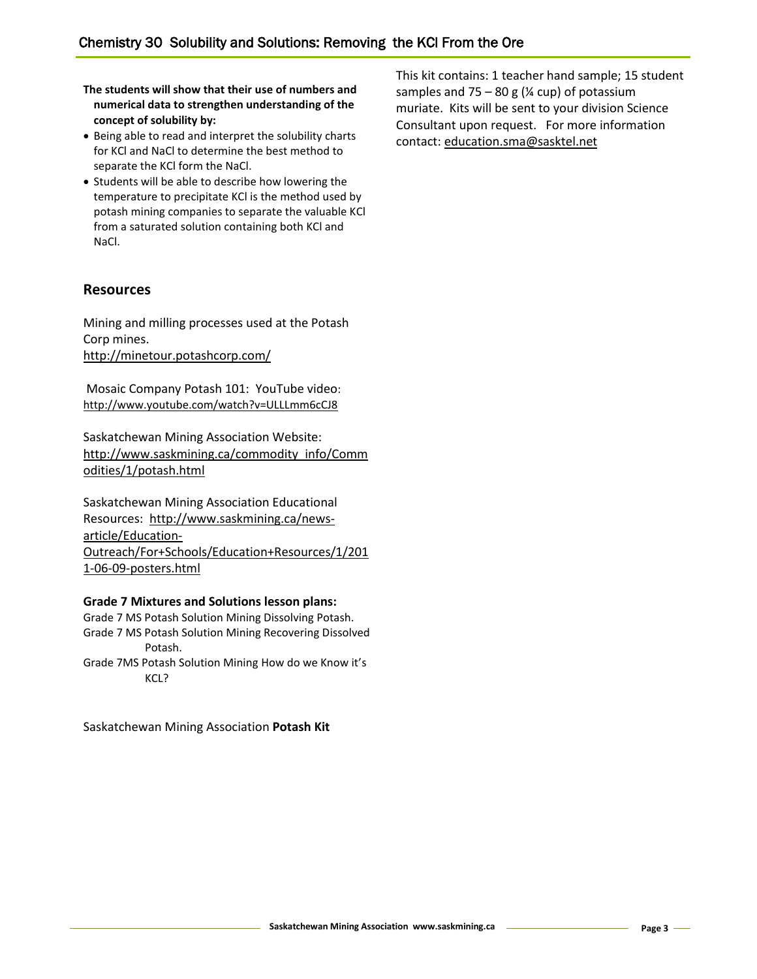**The students will show that their use of numbers and numerical data to strengthen understanding of the concept of solubility by:**

- Being able to read and interpret the solubility charts for KCl and NaCl to determine the best method to separate the KCl form the NaCl.
- Students will be able to describe how lowering the temperature to precipitate KCl is the method used by potash mining companies to separate the valuable KCl from a saturated solution containing both KCl and NaCl.

# **Resources**

Mining and milling processes used at the Potash Corp mines. <http://minetour.potashcorp.com/>

Mosaic Company Potash 101: YouTube video: <http://www.youtube.com/watch?v=ULLLmm6cCJ8>

Saskatchewan Mining Association Website: [http://www.saskmining.ca/commodity\\_info/Comm](http://www.saskmining.ca/commodity_info/Commodities/1/potash.html) [odities/1/potash.html](http://www.saskmining.ca/commodity_info/Commodities/1/potash.html)

Saskatchewan Mining Association Educational Resources: [http://www.saskmining.ca/news](http://www.saskmining.ca/news-article/Education-Outreach/For+Schools/Education+Resources/1/2011-06-09-posters.html)[article/Education-](http://www.saskmining.ca/news-article/Education-Outreach/For+Schools/Education+Resources/1/2011-06-09-posters.html)[Outreach/For+Schools/Education+Resources/1/201](http://www.saskmining.ca/news-article/Education-Outreach/For+Schools/Education+Resources/1/2011-06-09-posters.html) [1-06-09-posters.html](http://www.saskmining.ca/news-article/Education-Outreach/For+Schools/Education+Resources/1/2011-06-09-posters.html)

#### **Grade 7 Mixtures and Solutions lesson plans:**

Grade 7 MS Potash Solution Mining Dissolving Potash. Grade 7 MS Potash Solution Mining Recovering Dissolved Potash.

Grade 7MS Potash Solution Mining How do we Know it's KCL?

Saskatchewan Mining Association **Potash Kit**

This kit contains: 1 teacher hand sample; 15 student samples and  $75 - 80$  g ( $\frac{1}{4}$  cup) of potassium muriate. Kits will be sent to your division Science Consultant upon request. For more information contact: [education.sma@sasktel.net](mailto:education.sma@sasktel.net)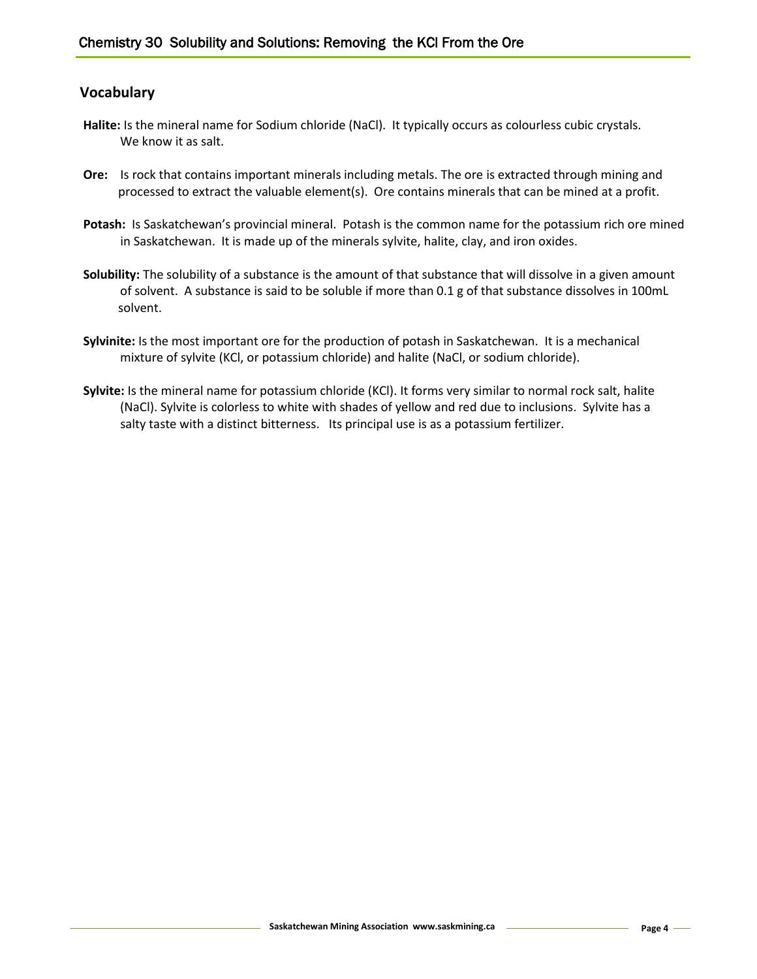# **Vocabulary**

- **Halite:** Is the mineral name for Sodium chloride (NaCl). It typically occurs as colourless cubic crystals. We know it as salt.
- **Ore:** Is rock that contains important minerals including metals. The ore is extracted through mining and processed to extract the valuable element(s). Ore contains minerals that can be mined at a profit.
- **Potash:** Is Saskatchewan's provincial mineral.Potash is the common name for the potassium rich ore mined in Saskatchewan. It is made up of the minerals sylvite, halite, clay, and iron oxides.
- **Solubility:** The solubility of a substance is the amount of that substance that will dissolve in a given amount of solvent. A substance is said to be soluble if more than 0.1 g of that substance dissolves in 100mL solvent.
- **Sylvinite:** Is the most important ore for the production of potash in Saskatchewan. It is a mechanical mixture of sylvite (KCl, or potassium chloride) and halite (NaCl, or sodium chloride).
- **Sylvite:** Is the mineral name for potassium chloride (KCl). It forms very similar to normal rock salt, halite (NaCl). Sylvite is colorless to white with shades of yellow and red due to inclusions. Sylvite has a salty taste with a distinct bitterness. Its principal use is as a potassium fertilizer.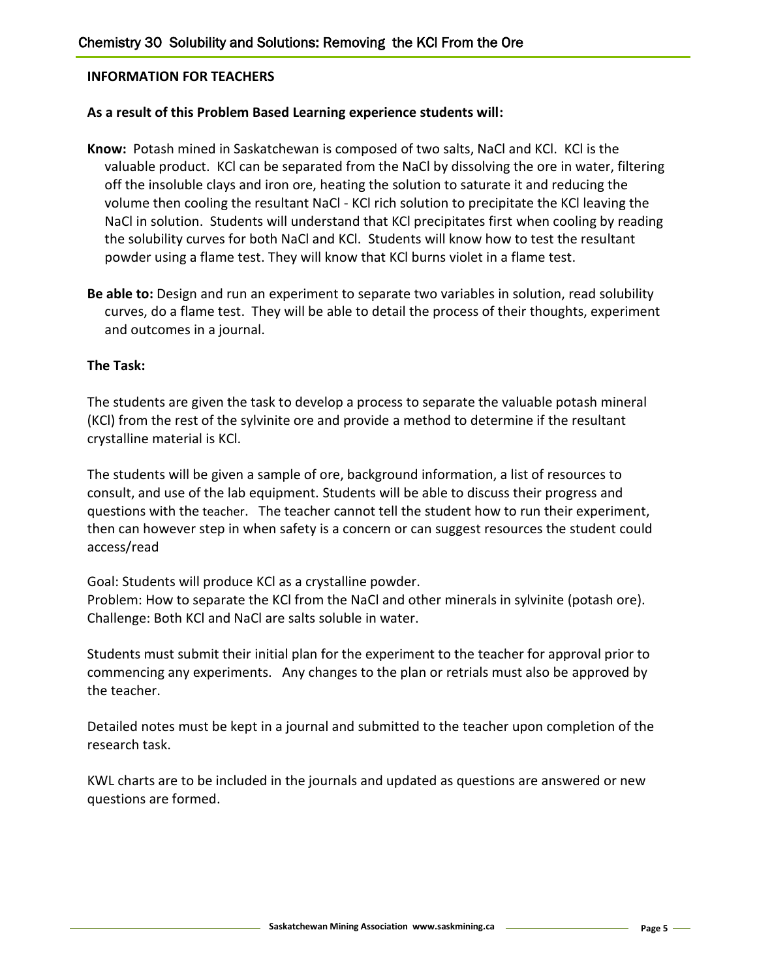# **INFORMATION FOR TEACHERS**

# **As a result of this Problem Based Learning experience students will:**

- **Know:** Potash mined in Saskatchewan is composed of two salts, NaCl and KCl. KCl is the valuable product. KCl can be separated from the NaCl by dissolving the ore in water, filtering off the insoluble clays and iron ore, heating the solution to saturate it and reducing the volume then cooling the resultant NaCl - KCl rich solution to precipitate the KCl leaving the NaCl in solution. Students will understand that KCl precipitates first when cooling by reading the solubility curves for both NaCl and KCl. Students will know how to test the resultant powder using a flame test. They will know that KCl burns violet in a flame test.
- **Be able to:** Design and run an experiment to separate two variables in solution, read solubility curves, do a flame test. They will be able to detail the process of their thoughts, experiment and outcomes in a journal.

# **The Task:**

The students are given the task to develop a process to separate the valuable potash mineral (KCl) from the rest of the sylvinite ore and provide a method to determine if the resultant crystalline material is KCl.

The students will be given a sample of ore, background information, a list of resources to consult, and use of the lab equipment. Students will be able to discuss their progress and questions with the teacher. The teacher cannot tell the student how to run their experiment, then can however step in when safety is a concern or can suggest resources the student could access/read

Goal: Students will produce KCl as a crystalline powder.

Problem: How to separate the KCl from the NaCl and other minerals in sylvinite (potash ore). Challenge: Both KCl and NaCl are salts soluble in water.

Students must submit their initial plan for the experiment to the teacher for approval prior to commencing any experiments. Any changes to the plan or retrials must also be approved by the teacher.

Detailed notes must be kept in a journal and submitted to the teacher upon completion of the research task.

KWL charts are to be included in the journals and updated as questions are answered or new questions are formed.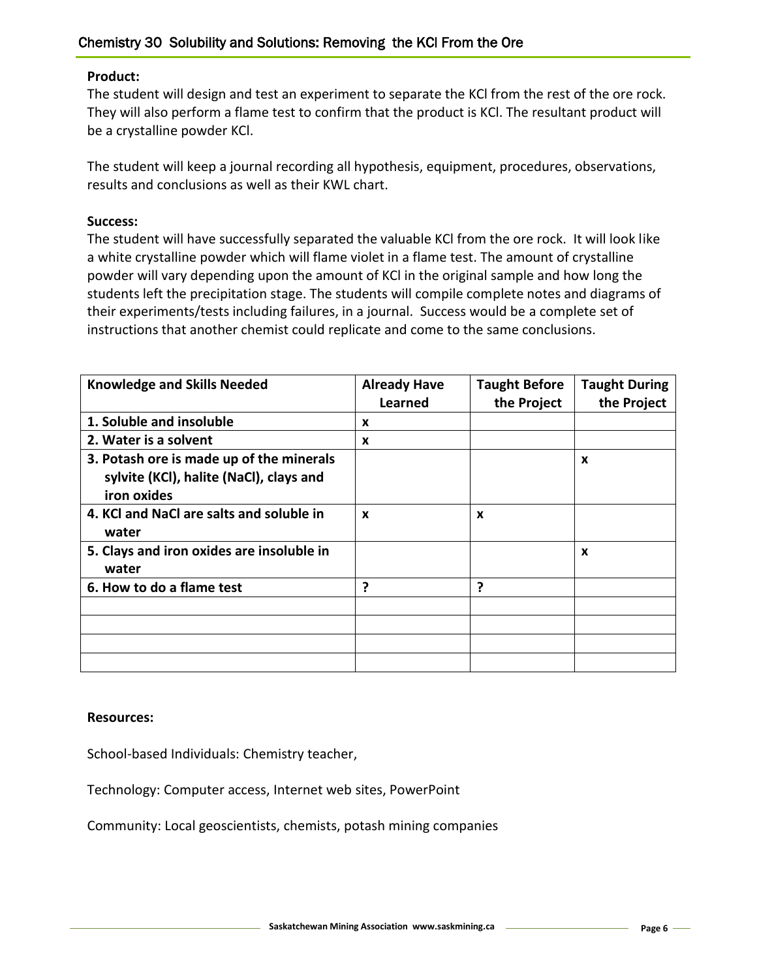# **Product:**

The student will design and test an experiment to separate the KCl from the rest of the ore rock. They will also perform a flame test to confirm that the product is KCl. The resultant product will be a crystalline powder KCl.

The student will keep a journal recording all hypothesis, equipment, procedures, observations, results and conclusions as well as their KWL chart.

# **Success:**

The student will have successfully separated the valuable KCl from the ore rock. It will look like a white crystalline powder which will flame violet in a flame test. The amount of crystalline powder will vary depending upon the amount of KCl in the original sample and how long the students left the precipitation stage. The students will compile complete notes and diagrams of their experiments/tests including failures, in a journal. Success would be a complete set of instructions that another chemist could replicate and come to the same conclusions.

| <b>Knowledge and Skills Needed</b>                                                                 | <b>Already Have</b>       | <b>Taught Before</b> | <b>Taught During</b> |
|----------------------------------------------------------------------------------------------------|---------------------------|----------------------|----------------------|
|                                                                                                    | <b>Learned</b>            | the Project          | the Project          |
| 1. Soluble and insoluble                                                                           | X                         |                      |                      |
| 2. Water is a solvent                                                                              | X                         |                      |                      |
| 3. Potash ore is made up of the minerals<br>sylvite (KCl), halite (NaCl), clays and<br>iron oxides |                           |                      | $\boldsymbol{x}$     |
| 4. KCl and NaCl are salts and soluble in<br>water                                                  | $\boldsymbol{\mathsf{x}}$ | X                    |                      |
| 5. Clays and iron oxides are insoluble in<br>water                                                 |                           |                      | $\boldsymbol{x}$     |
| 6. How to do a flame test                                                                          | 7                         | ?                    |                      |
|                                                                                                    |                           |                      |                      |
|                                                                                                    |                           |                      |                      |
|                                                                                                    |                           |                      |                      |
|                                                                                                    |                           |                      |                      |

# **Resources:**

School-based Individuals: Chemistry teacher,

Technology: Computer access, Internet web sites, PowerPoint

Community: Local geoscientists, chemists, potash mining companies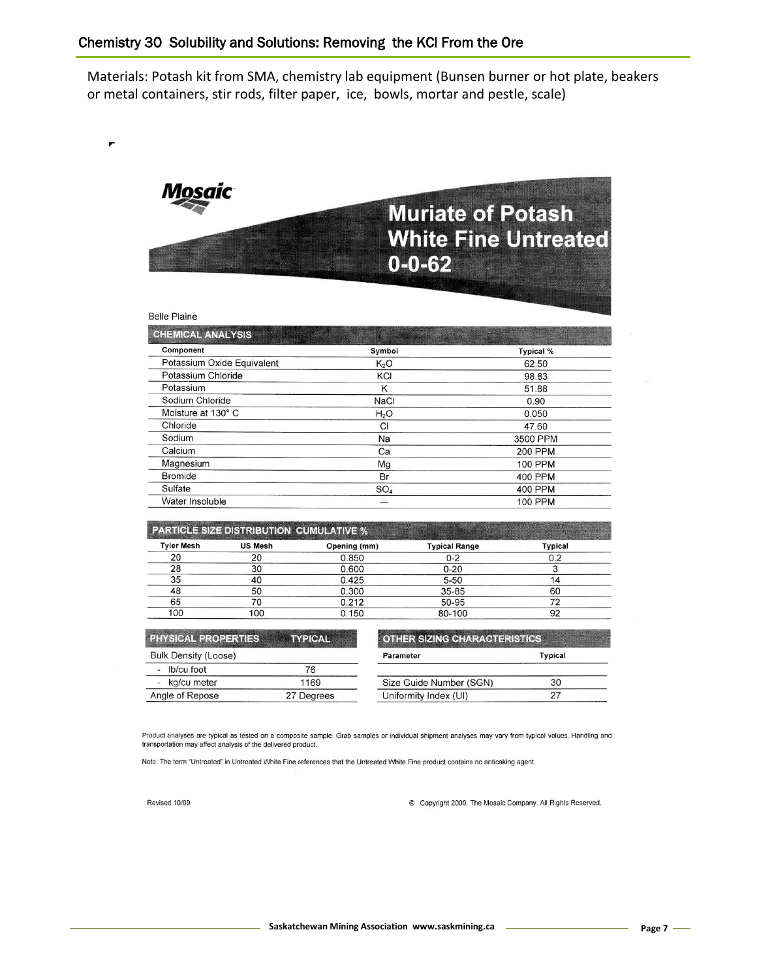Materials: Potash kit from SMA, chemistry lab equipment (Bunsen burner or hot plate, beakers or metal containers, stir rods, filter paper, ice, bowls, mortar and pestle, scale)



|  |  | Belle Plaine |  |
|--|--|--------------|--|
|--|--|--------------|--|

| <b>CHEMICAL ANALYSIS</b>   |                  |                  |
|----------------------------|------------------|------------------|
| Component                  | Symbol           | <b>Typical %</b> |
| Potassium Oxide Equivalent | K <sub>2</sub> O | 62.50            |
| Potassium Chloride         | KCI              | 98.83            |
| Potassium                  | Κ                | 51.88            |
| Sodium Chloride            | <b>NaCl</b>      | 0.90             |
| Moisture at 130° C         | H <sub>2</sub> O | 0.050            |
| Chloride                   | CI               | 47.60            |
| Sodium                     | Na               | 3500 PPM         |
| Calcium                    | Ca               | <b>200 PPM</b>   |
| Magnesium                  | Mg               | <b>100 PPM</b>   |
| <b>Bromide</b>             | Br               | <b>400 PPM</b>   |
| Sulfate                    | SO <sub>4</sub>  | 400 PPM          |
| Water Insoluble            |                  | <b>100 PPM</b>   |

| <b>PARTICLE SIZE DISTRIBUTION CUMULATIVE %</b> |                |              |                      |         |
|------------------------------------------------|----------------|--------------|----------------------|---------|
| <b>Tyler Mesh</b>                              | <b>US Mesh</b> | Opening (mm) | <b>Typical Range</b> | Typical |
| 20                                             |                | 0.850        | $0 - 2$              | 0.2     |
| 28                                             | 30             | 0.600        | $0 - 20$             |         |
| 35                                             | 40             | 0.425        | $5 - 50$             |         |
| 48                                             | 50             | 0.300        | $35 - 85$            | 60      |
| 65                                             |                | 0.212        | 50-95                |         |
| 100                                            | 100            | 0.150        | 80-100               | 92      |

| <b>PHYSICAL PROPERTIES</b>              | <b>TYPICAL</b> | <b>OTHER SIZING CHARACTERISTICS</b> |         |  |
|-----------------------------------------|----------------|-------------------------------------|---------|--|
| <b>Bulk Density (Loose)</b>             |                | Parameter                           | Typical |  |
| lb/cu foot<br>$\overline{\phantom{0}}$  | 76             |                                     |         |  |
| kg/cu meter<br>$\overline{\phantom{0}}$ | 1169           | Size Guide Number (SGN)             | 30      |  |
| Angle of Repose                         | 27 Degrees     | Uniformity Index (UI)               |         |  |

Product analyses are typical as tested on a composite sample. Grab samples or individual shipment analyses may vary from typical values. Handling and transportation may affect analysis of the delivered product.

Note: The term "Untreated" in Untreated White Fine references that the Untreated White Fine product contains no anticaking agent.

Revised 10/09

© Copyright 2009. The Mosaic Company. All Rights Reserved.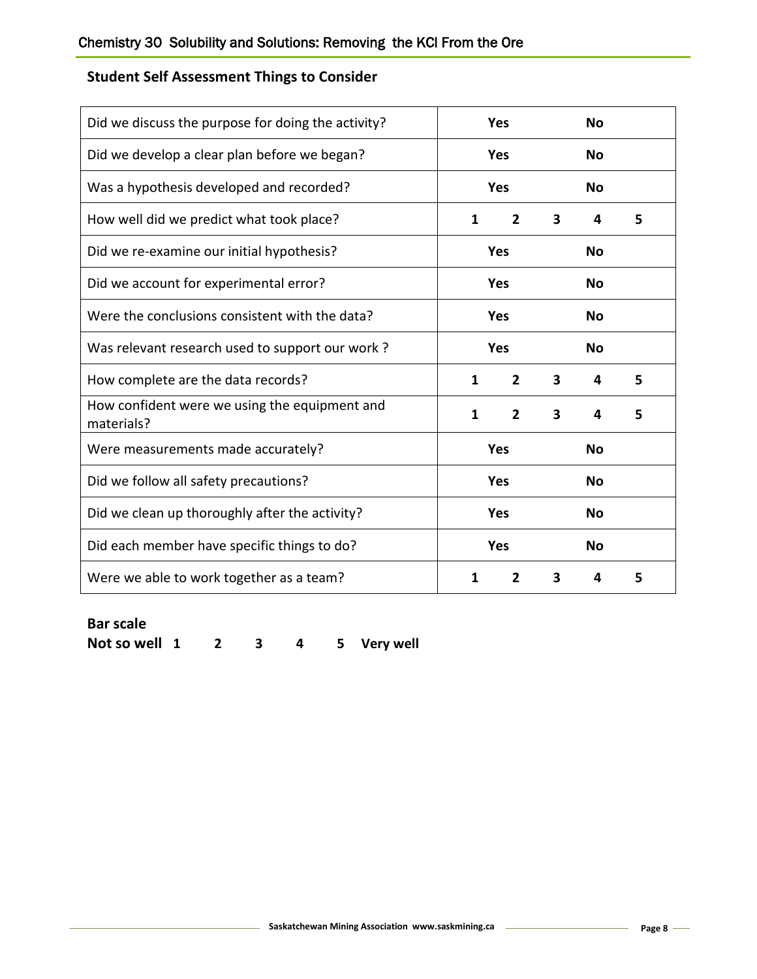# **Student Self Assessment Things to Consider**

| Did we discuss the purpose for doing the activity?          | Yes<br>No                |                |           |           |   |
|-------------------------------------------------------------|--------------------------|----------------|-----------|-----------|---|
| Did we develop a clear plan before we began?                | <b>Yes</b>               |                | <b>No</b> |           |   |
| Was a hypothesis developed and recorded?                    |                          | <b>Yes</b>     |           | <b>No</b> |   |
| How well did we predict what took place?                    | 1<br>$\overline{2}$<br>3 |                |           | 4         | 5 |
| Did we re-examine our initial hypothesis?                   |                          | Yes            |           | <b>No</b> |   |
| Did we account for experimental error?                      | Yes                      |                | <b>No</b> |           |   |
| Were the conclusions consistent with the data?              | <b>Yes</b>               |                | <b>No</b> |           |   |
| Was relevant research used to support our work?             | <b>Yes</b>               |                | No        |           |   |
| How complete are the data records?                          | 1                        | $\overline{2}$ | 3         | 4         | 5 |
| How confident were we using the equipment and<br>materials? | $\mathbf{1}$             | $\overline{2}$ | 3         | 4         | 5 |
| Were measurements made accurately?                          | <b>Yes</b><br><b>No</b>  |                |           |           |   |
| Did we follow all safety precautions?                       | <b>Yes</b>               |                | <b>No</b> |           |   |
| Did we clean up thoroughly after the activity?              | Yes<br><b>No</b>         |                |           |           |   |
| Did each member have specific things to do?                 | <b>Yes</b><br><b>No</b>  |                |           |           |   |
| Were we able to work together as a team?                    | 1<br>$\overline{2}$<br>3 |                | 4         | 5         |   |

# **Bar scale**

**Not so well 1 2 3 4 5 Very well**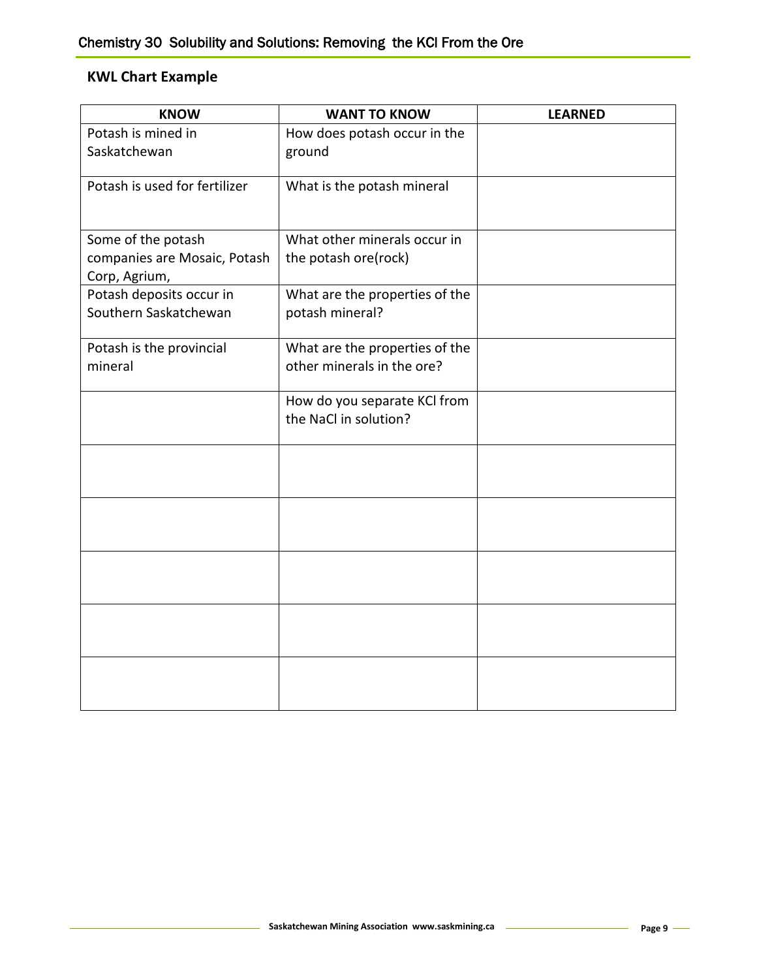# **KWL Chart Example**

| <b>KNOW</b>                                   | <b>WANT TO KNOW</b>                                   | <b>LEARNED</b> |
|-----------------------------------------------|-------------------------------------------------------|----------------|
| Potash is mined in                            | How does potash occur in the                          |                |
| Saskatchewan                                  | ground                                                |                |
| Potash is used for fertilizer                 | What is the potash mineral                            |                |
| Some of the potash                            | What other minerals occur in                          |                |
| companies are Mosaic, Potash<br>Corp, Agrium, | the potash ore(rock)                                  |                |
| Potash deposits occur in                      | What are the properties of the                        |                |
| Southern Saskatchewan                         | potash mineral?                                       |                |
| Potash is the provincial                      | What are the properties of the                        |                |
| mineral                                       | other minerals in the ore?                            |                |
|                                               | How do you separate KCI from<br>the NaCl in solution? |                |
|                                               |                                                       |                |
|                                               |                                                       |                |
|                                               |                                                       |                |
|                                               |                                                       |                |
|                                               |                                                       |                |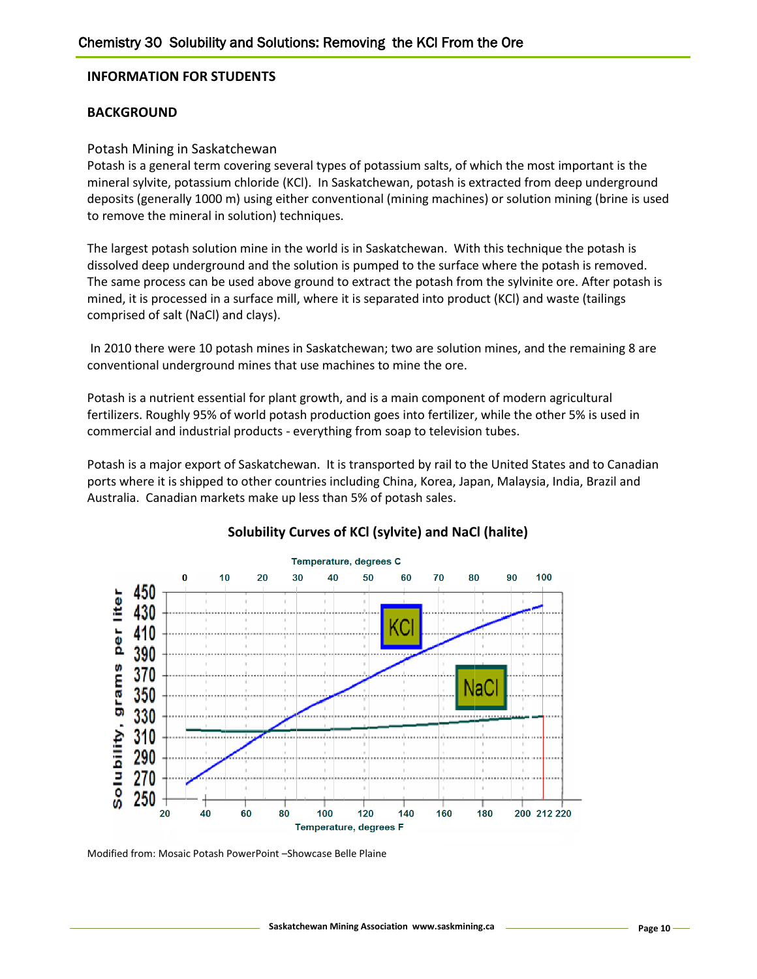## **INFORMATION FOR STUDENTS**

## **BACKGROUND**

#### Potash Mining in Saskatchewan

Potash is a general term covering several types of potassium salts, of which the most important is the mineral sylvite, potassium chloride (KCl). In Saskatchewan, potash is extracted from deep underground deposits (generally 1000 m) using either conventional (mining machines) or solution mining (brine is used to remove the mineral in solution) techniques.

The largest potash solution mine in the world is in Saskatchewan. With this technique the potash is dissolved deep underground and the solution is pumped to the surface where the potash is removed. The same process can be used above ground to extract the potash from the sylvinite ore. After potash is mined, it is processed in a surface mill, where it is separated into product (KCl) and waste (tailings comprised of salt (NaCl) and clays).

In 2010 there were 10 potash mines in Saskatchewan; two are solution mines, and the remaining 8 are conventional underground mines that use machines to mine the ore.

Potash is a nutrient essential for plant growth, and is a main component of modern agricultural fertilizers. Roughly 95% of world potash production goes into fertilizer, while the other 5% is used in commercial and industrial products - everything from soap to television tubes.

Potash is a major export of Saskatchewan. It is transported by rail to the United States and to Canadian ports where it is shipped to other countries including China, Korea, Japan, Malaysia, India, Brazil and Australia. Canadian markets make up less than 5% of potash sales.



# **Solubility Curves of KCl (sylvite) and NaCl (halite)**

Modified from: Mosaic Potash PowerPoint –Showcase Belle Plaine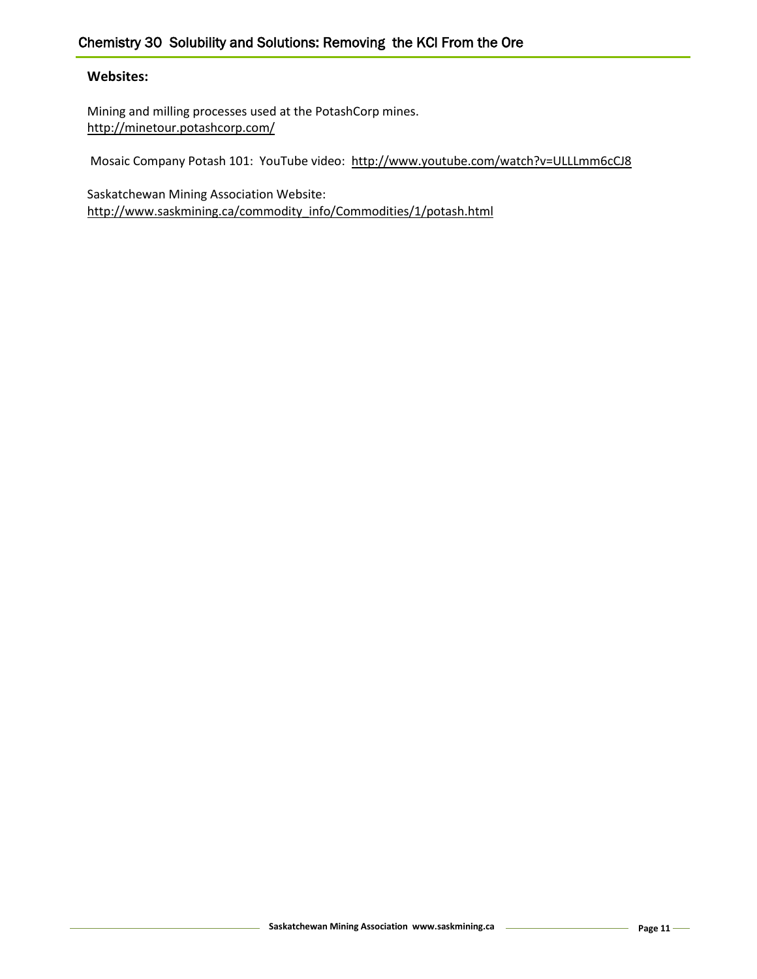# **Websites:**

Mining and milling processes used at the PotashCorp mines. <http://minetour.potashcorp.com/>

Mosaic Company Potash 101: YouTube video: <http://www.youtube.com/watch?v=ULLLmm6cCJ8>

Saskatchewan Mining Association Website: [http://www.saskmining.ca/commodity\\_info/Commodities/1/potash.html](http://www.saskmining.ca/commodity_info/Commodities/1/potash.html)